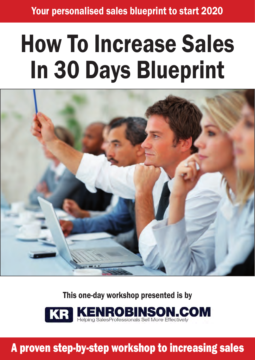Your personalised sales blueprint to start 2020

# How To Increase Sales In 30 Days Blueprint



This one-day workshop presented is by

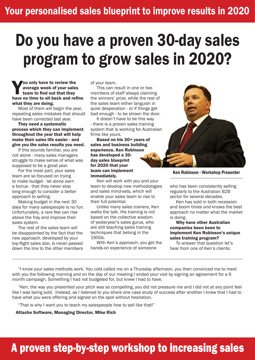## Do you have a proven 30-day sales program to grow sales in 2020?

You only have to review the<br>average week of your sales<br>team to find out that they<br>have no time to sit back and ref average week of your sales team to find out that they have no time to sit back and refine what they are doing.

Most of them will begin the year, repeating sales mistakes that should have been corrected last year.

They need a systematic process which they can implement throughout the year that will help make their sales life easier - and give you the sales results you need.

If this sounds familiar, you are not alone - many sales managers struggle to make sense of what was supposed to be a great year.

For the most part, your sales team are so focused on trying to make budget - let alone earn a bonus - that they never stop long enough to consider a better approach to selling.

Making budget in the next 30 days for many salespeople is no fun. Unfortunately, a rare few can rise above the fray and improve their sales system.

The rest of the sales team will be disappointed by the fact that the new approach, developed by your top-flight sales star, is never passed down the line to the other members of your team.

This can result in one or two members of staff always claiming the winners' prize, while the rest of the sales team either languish in quiet desperation - or if things get bad enough - to be shown the door.

It doesn't have to be this way - there is a proven sales training system that is working for Australian firms like yours.

Based on his 30+ years of sales and business building experience, Ken Robinson has developed a 30 day sales blueprint for 2020 that your team can implement immediately.

Ken will work with you and your team to develop new methodologies and sales mind-sets, which will enable your sales team to rise to their full potential.

Unlike many sales trainers, Ken walks the talk. His training is not based on the collective wisdom of yesteryear's sales gurus, who are still teaching sales training techniques that belong in the 1950s.

With Ken's approach, you get the hands-on experience of someone



Ken Robinson - Workshop Presenter

who has been consistently selling regularly to the Australian B2B sector for several decades.

Ken has sold in both recession and boom times and knows the best approach no matter what the market is doing.

Why have other Australian companies been keen to implement Ken Robinson's unique sales training program?

To answer that question let's hear from one of Ken's clients:

"I know your sales methods work. You cold called me on a Thursday afternoon, you then convinced me to meet with you the following morning and on the day of our meeting I ended your visit by signing an agreement for a 6 month campaign. Something I had not budgeted for, but knew I had to have.

"Ken, the way you presented your pitch was so compelling, you did not pressure me and I did not at any point feel like I was being sold. Instead, as I listened to you share one case study of success after another I knew that I had to have what you were offering and signed on the spot without hesitation.

"That is why I want you to teach my salespeople how to sell like that!"

Attache Software, Managing Director, Mike Rich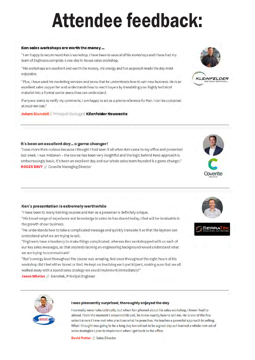## Attendee feedback:

#### Ken sales workshops are worth the money ...

"I am happy to recommend Ken's workshop. I have been to several of his workshops and I have had my team of Engineers complete a one-day in-house sales workshop.

"His workshops are excellent and worth the money. His energy and fun appraoch made the day most enjoyable.

"Plus, I have used his marketing services and know that he understands how to win new business. He is an excellent sales copywriter and understands how to reach buyers by translating your highly technical material into a format senior executives can understand.

If anyone wants to verify my comments, I am happy to act as a phone reference for Ken. I can be contacted at 0429 484 088."

Adam Blundell // Principal Ecologist Klienfelder Newcastle



#### It's been an excellent day... a game changer!

"I was more than curious because I thought I had seen it all when Ken came to my office and presented last week. I was mistaken - the course has been very insightful and the logic behind Kens approach is embarrassingly basic. It's been an excellent day and our whole sales team founded it a game changer." **ROGER DAVY // Coverite Managing Director** 

#### Ken's presentation is extremely worthwhile

"I have been to many training courses and Ken as a presenter is definitely unique.

"His broad range of experience and knowledge in sales he has shared today, I feel will be invaluable in the growth of our business.

"He understands how to take a complicated message and quickly translate it so that the layman can understand what we are trying to sell.

"Engineers have a tendency to make things complicated, whereas Ken workshopped with us each of our key sales messages, so that anybody lacking an engineering background would understand what we are trying to communicate!

"Ken's energy level throughout the course was amazing. Not once throughout the eight hours of his workshop did I feel either bored or tied. He kept on involving each participant, making sure that we all walked away with a sound sales strategy we could implement immediately!"

Jason Whelan // Sierratek, Principal Engineer







#### I was pleasantly surprised, thoroughly enjoyed the day

I normally never take cold calls, but when Ken phoned about his sales workshop, I knew I had to attend. From the moment I answered his call, he knew exactly how to sell me. He is one of the few sales trainers I have met who practices what he preaches. He teaches a powerful approach to selling. What I thought was going to be a long day turned out to be a great day as I learned a whole new set of sales strategies I plan to implement when I get back to the office.

**David Potter // Sales Director**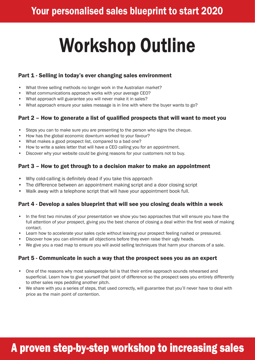## Workshop Outline

### Part 1 - Selling in today's ever changing sales environment

- What three selling methods no longer work in the Australian market?
- What communications approach works with your average CEO?
- What approach will guarantee you will never make it in sales?
- What approach ensure your sales message is in line with where the buyer wants to go?

### Part 2 – How to generate a list of qualified prospects that will want to meet you

- Steps you can to make sure you are presenting to the person who signs the cheque.
- How has the global economic downturn worked to your favour?
- What makes a good prospect list, compared to a bad one?
- How to write a sales letter that will have a CEO calling you for an appointment.
- Discover why your website could be giving reasons for your customers not to buy.

### Part 3 – How to get through to a decision maker to make an appointment

- Why cold-calling is definitely dead if you take this approach
- The difference between an appointment making script and a door closing script
- Walk away with a telephone script that will have your appointment book full.

### Part 4 - Develop a sales blueprint that will see you closing deals within a week

- In the first two minutes of your presentation we show you two approaches that will ensure you have the full attention of your prospect, giving you the best chance of closing a deal within the first week of making contact.
- Learn how to accelerate your sales cycle without leaving your prospect feeling rushed or pressured.
- Discover how you can eliminate all objections before they even raise their ugly heads.
- We give you a road map to ensure you will avoid selling techniques that harm your chances of a sale.

### Part 5 - Communicate in such a way that the prospect sees you as an expert

- One of the reasons why most salespeople fail is that their entire approach sounds rehearsed and superficial. Learn how to give yourself that point of difference so the prospect sees you entirely differently to other sales reps peddling another pitch.
- We share with you a series of steps, that used correctly, will guarantee that you'll never have to deal with price as the main point of contention.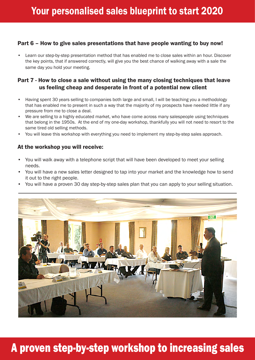### Part 6 – How to give sales presentations that have people wanting to buy now!

• Learn our step-by-step presentation method that has enabled me to close sales within an hour. Discover the key points, that if answered correctly, will give you the best chance of walking away with a sale the same day you hold your meeting.

### Part 7 - How to close a sale without using the many closing techniques that leave us feeling cheap and desperate in front of a potential new client

- Having spent 30 years selling to companies both large and small, I will be teaching you a methodology that has enabled me to present in such a way that the majority of my prospects have needed little if any pressure from me to close a deal.
- We are selling to a highly educated market, who have come across many salespeople using techniques that belong in the 1950s. At the end of my one-day workshop, thankfully you will not need to resort to the same tired old selling methods.
- You will leave this workshop with everything you need to implement my step-by-step sales approach.

#### At the workshop you will receive:

- You will walk away with a telephone script that will have been developed to meet your selling needs.
- You will have a new sales letter designed to tap into your market and the knowledge how to send it out to the right people.
- You will have a proven 30 day step-by-step sales plan that you can apply to your selling situation.

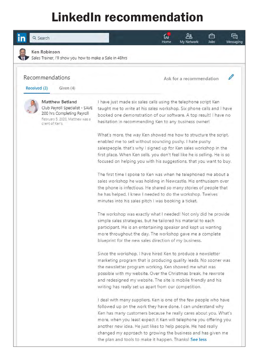### LinkedIn recommendation

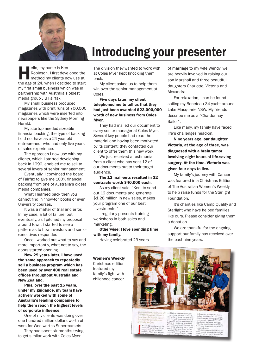

### Introducing your presenter

ello, my name is Ken<br>
Robinson. I first developed the<br>
method my clients now use at<br>
the age of 24, when I decided to start Robinson. I first developed the method my clients now use at my first small business which was in partnership with Australia's oldest media group J.B Fairfax.

My small business produced magazines with print runs of 700,000 magazines which were inserted into newspapers like the Sydney Morning Herald.

My startup needed sizeable financial backing, the type of backing I did not have as a 24-year-old entrepreneur who had only five years of sales experience.

The approach I now use with my clients, which I started developing back in 1990, enabled me to sell to several layers of senior management.

Eventually, I convinced the board of Fairfax to give me 100% financial backing from one of Australia's oldest media companies.

What I learned back then you cannot find in "how-to" books or even University courses.

It was a matter of trial and error. In my case, a lot of failure, but eventually, as I pitched my proposal around town, I started to see a pattern as to how investors and senior executives responded.

Once I worked out what to say and more importantly, what not to say, the doors started opening.

Now 29 years later, I have used the same approach to repeatedly sell a business program which has been used by over 400 real estate offices throughout Australia and New Zealand.

Plus, over the past 15 years, under my guidance, my team have actively worked with some of Australia's leading companies to help them reach the highest levels of corporate influence.

One of my clients was doing over one hundred million dollars worth of work for Woolworths Supermarkets.

They had spent six months trying to get similar work with Coles Myer.

The division they wanted to work with at Coles Myer kept knocking them back.

My client asked us to help them win over the senior management at Coles.

Five days later, my client telephoned me to tell us that they had just been awarded \$23,000,000 worth of new business from Coles Myer.

They had mailed our document to every senior manager at Coles Myer. Several key people had read the material and having been motivated by its content; they contacted our client to offer them this new work.

We just received a testimonial from a client who has sent 12 of our documents out to their target audience.

#### The 12 mail-outs resulted in 32 contracts worth \$40,000 each.

As my client said, "Ken, to send out 12 documents and generate \$1.28 million in new sales, makes your program one of our best investments."

I regularly presents training workshops in both sales and marketing.

Otherwise: I love spending time with my family.

Having celebrated 23 years

of marriage to my wife Wendy, we are heavily involved in raising our son Marshall and three beautiful daughters Charlotte, Victoria and Alexandra.

For relaxation, I can be found sailing my Beneteau 34 yacht around Lake Macquarie NSW. My friends describe me as a "Chardonnay Sailor".

Like many, my family have faced life's challenges head-on.

Nine years ago, our daughter Victoria, at the age of three, was diagnosed with a brain tumor involving eight hours of life-saving surgery. At the time, Victoria was given four days to live.

My family's journey with Cancer was featured in a Christmas Edition of The Australian Women's Weekly to help raise funds for the Starlight Foundation.

It's charities like Camp Quality and Starlight who have helped families like ours. Please consider giving them a donation.

We are thankful for the ongoing support our family has received over the past nine years.

Women's Weekly Christmas edition featured my family's fight with childhood cancer

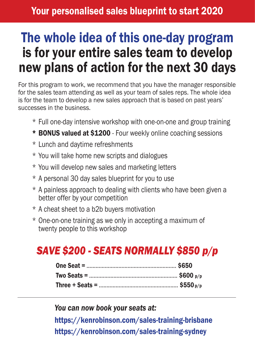### The whole idea of this one-day program is for your entire sales team to develop new plans of action for the next 30 days

For this program to work, we recommend that you have the manager responsible for the sales team attending as well as your team of sales reps. The whole idea is for the team to develop a new sales approach that is based on past years' successes in the business.

- \* Full one-day intensive workshop with one-on-one and group training
- \* BONUS valued at \$1200 Four weekly online coaching sessions
- \* Lunch and daytime refreshments
- \* You will take home new scripts and dialogues
- \* You will develop new sales and marketing letters
- \* A personal 30 day sales blueprint for you to use
- \* A painless approach to dealing with clients who have been given a better offer by your competition
- \* A cheat sheet to a b2b buyers motivation
- \* One-on-one training as we only in accepting a maximum of twenty people to this workshop

### *SAVE \$200 - SEATS NORMALLY \$850 p/p*

*You can now book your seats at:*

[https://kenrobinson.com/sales-training-brisbane](https://kenrobinson.com/sales-training-brisbane/) [https://kenrobinson.com/sales-training-sydney](https://kenrobinson.com/sales-training-sydney/)